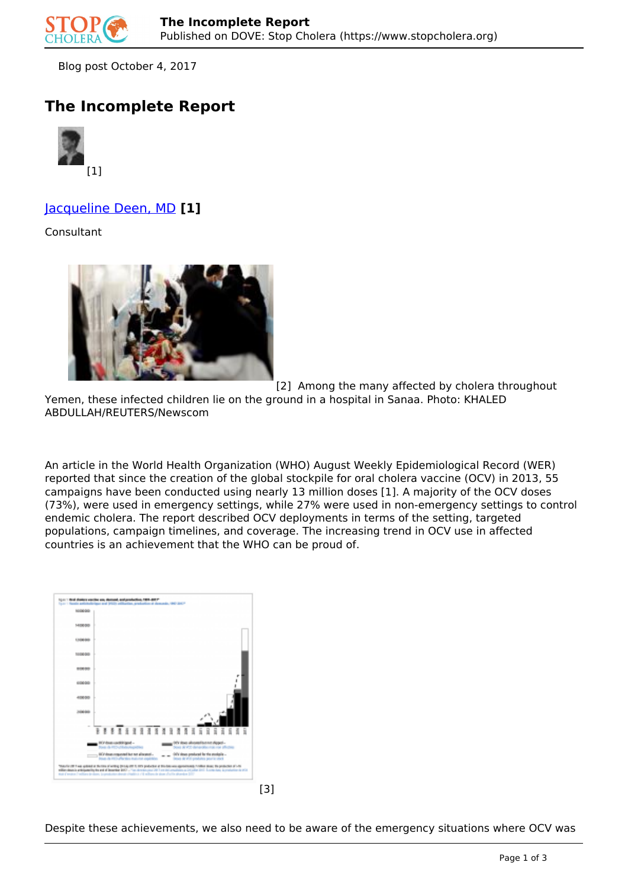

Blog post October 4, 2017

## **The Incomplete Report**



## Jacqueline Deen, MD **[1]**

Consultant



[2] Among the many affected by cholera throughout

Yemen, these infected children lie on the ground in a hospital in Sanaa. Photo: KHALED ABDULLAH/REUTERS/Newscom

An article in the World Health Organization (WHO) August Weekly Epidemiological Record (WER) reported that since the creation of the global stockpile for oral cholera vaccine (OCV) in 2013, 55 campaigns have been conducted using nearly 13 million doses [1]. A majority of the OCV doses (73%), were used in emergency settings, while 27% were used in non-emergency settings to control endemic cholera. The report described OCV deployments in terms of the setting, targeted populations, campaign timelines, and coverage. The increasing trend in OCV use in affected countries is an achievement that the WHO can be proud of.

| 100806-010                   |                                                                                                                                                                                                                                                                                                                                                                                                                                                                                |
|------------------------------|--------------------------------------------------------------------------------------------------------------------------------------------------------------------------------------------------------------------------------------------------------------------------------------------------------------------------------------------------------------------------------------------------------------------------------------------------------------------------------|
| 14/06/05                     |                                                                                                                                                                                                                                                                                                                                                                                                                                                                                |
| 1,500,000                    |                                                                                                                                                                                                                                                                                                                                                                                                                                                                                |
| 100800-                      |                                                                                                                                                                                                                                                                                                                                                                                                                                                                                |
| 80050                        |                                                                                                                                                                                                                                                                                                                                                                                                                                                                                |
| 49444                        |                                                                                                                                                                                                                                                                                                                                                                                                                                                                                |
| 40050                        |                                                                                                                                                                                                                                                                                                                                                                                                                                                                                |
| <b><i><u>AGEMENT</u></i></b> |                                                                                                                                                                                                                                                                                                                                                                                                                                                                                |
|                              | <b>FREE ARTIFARRATIC AT A T A T A T A T A T</b>                                                                                                                                                                                                                                                                                                                                                                                                                                |
|                              |                                                                                                                                                                                                                                                                                                                                                                                                                                                                                |
|                              | (KY ilos alkomfanne Appel -<br>Don il V72 desartici rai ne plictici<br><b>HO' doub upddinigael -</b><br>Form de PEC-utiliséeungssting                                                                                                                                                                                                                                                                                                                                          |
|                              | (ATV shows produced by the studently<br>. It's down requested but not allocated -<br>lower de introduction matures condition.<br>lessa de VIII produitos peurla: utiek                                                                                                                                                                                                                                                                                                         |
|                              | TRAVER THE GRAND A THOSE AFWERS (TO ALIZE TO THE patients) of Studies was appointed to follow these the probables of USL<br>1976 of collection and a security for with the above that the constitution of the control of the security of the control of the control of the control of the control of the control of the control of the control of the cont<br>that Constant Confident Instance, La production should a Chaliford a Clin military do alone a Carliford and Diff |

Despite these achievements, we also need to be aware of the emergency situations where OCV was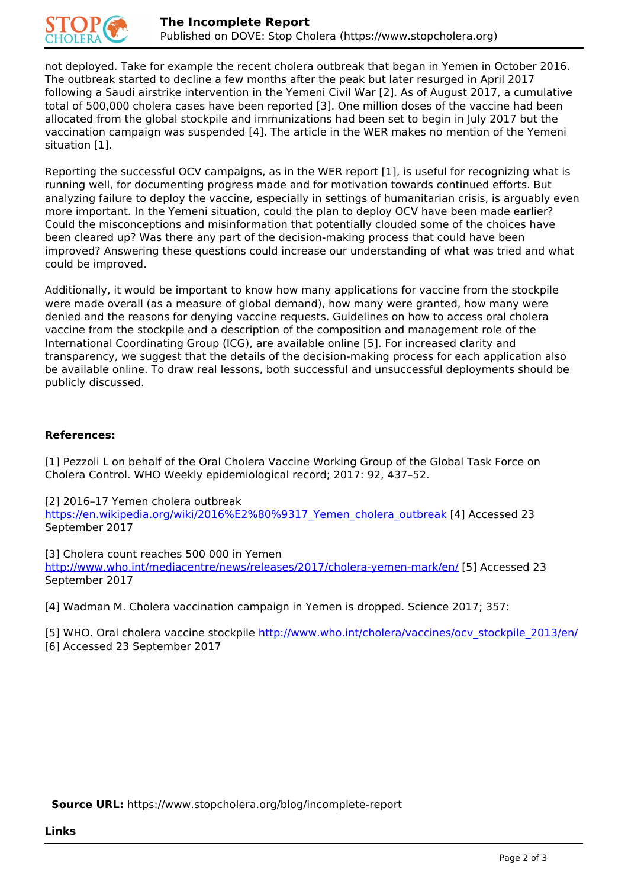

not deployed. Take for example the recent cholera outbreak that began in Yemen in October 2016. The outbreak started to decline a few months after the peak but later resurged in April 2017 following a Saudi airstrike intervention in the Yemeni Civil War [2]. As of August 2017, a cumulative total of 500,000 cholera cases have been reported [3]. One million doses of the vaccine had been allocated from the global stockpile and immunizations had been set to begin in July 2017 but the vaccination campaign was suspended [4]. The article in the WER makes no mention of the Yemeni situation [1].

Reporting the successful OCV campaigns, as in the WER report [1], is useful for recognizing what is running well, for documenting progress made and for motivation towards continued efforts. But analyzing failure to deploy the vaccine, especially in settings of humanitarian crisis, is arguably even more important. In the Yemeni situation, could the plan to deploy OCV have been made earlier? Could the misconceptions and misinformation that potentially clouded some of the choices have been cleared up? Was there any part of the decision-making process that could have been improved? Answering these questions could increase our understanding of what was tried and what could be improved.

Additionally, it would be important to know how many applications for vaccine from the stockpile were made overall (as a measure of global demand), how many were granted, how many were denied and the reasons for denying vaccine requests. Guidelines on how to access oral cholera vaccine from the stockpile and a description of the composition and management role of the International Coordinating Group (ICG), are available online [5]. For increased clarity and transparency, we suggest that the details of the decision-making process for each application also be available online. To draw real lessons, both successful and unsuccessful deployments should be publicly discussed.

## **References:**

[1] Pezzoli L on behalf of the Oral Cholera Vaccine Working Group of the Global Task Force on Cholera Control. WHO Weekly epidemiological record; 2017: 92, 437–52.

[2] 2016–17 Yemen cholera outbreak

https://en.wikipedia.org/wiki/2016%E2%80%9317\_Yemen\_cholera\_outbreak [4] Accessed 23 September 2017

[3] Cholera count reaches 500 000 in Yemen] http://www.who.int/mediacentre/news/releases/2017/cholera-yemen-mark/en/ [5] Accessed 23 September 2017

[4] Wadman M. Cholera vaccination campaign in Yemen is dropped. Science 2017; 357:

[5] WHO. Oral cholera vaccine stockpile http://www.who.int/cholera/vaccines/ocv\_stockpile\_2013/en/

[6] Accessed 23 September 2017